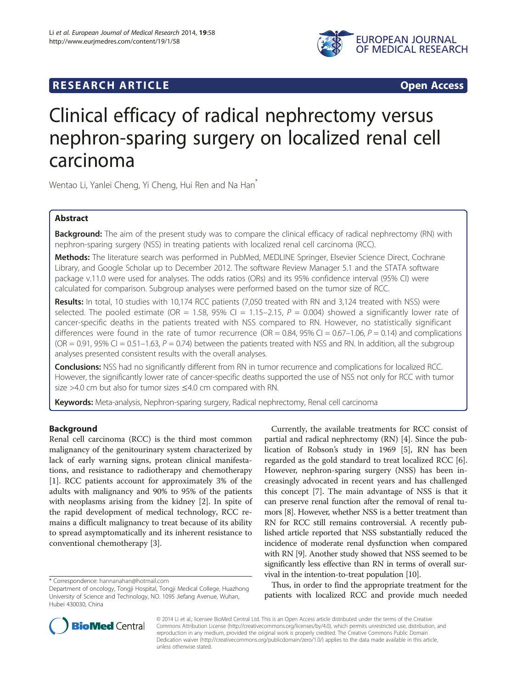

### **RESEARCH ARTICLE Example 2018 12:00 Open Access**

# Clinical efficacy of radical nephrectomy versus nephron-sparing surgery on localized renal cell carcinoma

Wentao Li, Yanlei Cheng, Yi Cheng, Hui Ren and Na Han<sup>®</sup>

#### Abstract

Background: The aim of the present study was to compare the clinical efficacy of radical nephrectomy (RN) with nephron-sparing surgery (NSS) in treating patients with localized renal cell carcinoma (RCC).

Methods: The literature search was performed in PubMed, MEDLINE Springer, Elsevier Science Direct, Cochrane Library, and Google Scholar up to December 2012. The software Review Manager 5.1 and the STATA software package v.11.0 were used for analyses. The odds ratios (ORs) and its 95% confidence interval (95% CI) were calculated for comparison. Subgroup analyses were performed based on the tumor size of RCC.

Results: In total, 10 studies with 10,174 RCC patients (7,050 treated with RN and 3,124 treated with NSS) were selected. The pooled estimate (OR = 1.58, 95% CI = 1.15–2.15,  $P = 0.004$ ) showed a significantly lower rate of cancer-specific deaths in the patients treated with NSS compared to RN. However, no statistically significant differences were found in the rate of tumor recurrence (OR = 0.84, 95% CI = 0.67–1.06, P = 0.14) and complications  $(OR = 0.91, 95\% \text{ CI} = 0.51 - 1.63, P = 0.74)$  between the patients treated with NSS and RN. In addition, all the subgroup analyses presented consistent results with the overall analyses.

Conclusions: NSS had no significantly different from RN in tumor recurrence and complications for localized RCC. However, the significantly lower rate of cancer-specific deaths supported the use of NSS not only for RCC with tumor size >4.0 cm but also for tumor sizes ≤4.0 cm compared with RN.

Keywords: Meta-analysis, Nephron-sparing surgery, Radical nephrectomy, Renal cell carcinoma

#### Background

Renal cell carcinoma (RCC) is the third most common malignancy of the genitourinary system characterized by lack of early warning signs, protean clinical manifestations, and resistance to radiotherapy and chemotherapy [[1\]](#page-5-0). RCC patients account for approximately 3% of the adults with malignancy and 90% to 95% of the patients with neoplasms arising from the kidney [\[2](#page-5-0)]. In spite of the rapid development of medical technology, RCC remains a difficult malignancy to treat because of its ability to spread asymptomatically and its inherent resistance to conventional chemotherapy [\[3](#page-5-0)].

Currently, the available treatments for RCC consist of partial and radical nephrectomy (RN) [\[4](#page-5-0)]. Since the publication of Robson's study in 1969 [\[5\]](#page-5-0), RN has been regarded as the gold standard to treat localized RCC [\[6](#page-5-0)]. However, nephron-sparing surgery (NSS) has been increasingly advocated in recent years and has challenged this concept [\[7](#page-5-0)]. The main advantage of NSS is that it can preserve renal function after the removal of renal tumors [[8](#page-5-0)]. However, whether NSS is a better treatment than RN for RCC still remains controversial. A recently published article reported that NSS substantially reduced the incidence of moderate renal dysfunction when compared with RN [[9](#page-5-0)]. Another study showed that NSS seemed to be significantly less effective than RN in terms of overall survival in the intention-to-treat population [[10](#page-5-0)].

Thus, in order to find the appropriate treatment for the patients with localized RCC and provide much needed



© 2014 Li et al.; licensee BioMed Central Ltd. This is an Open Access article distributed under the terms of the Creative Commons Attribution License [\(http://creativecommons.org/licenses/by/4.0\)](http://creativecommons.org/licenses/by/4.0), which permits unrestricted use, distribution, and reproduction in any medium, provided the original work is properly credited. The Creative Commons Public Domain Dedication waiver [\(http://creativecommons.org/publicdomain/zero/1.0/](http://creativecommons.org/publicdomain/zero/1.0/)) applies to the data made available in this article, unless otherwise stated.

<sup>\*</sup> Correspondence: [hannanahan@hotmail.com](mailto:hannanahan@hotmail.com)

Department of oncology, Tongji Hospital, Tongji Medical College, Huazhong University of Science and Technology, NO. 1095 Jiefang Avenue, Wuhan, Hubei 430030, China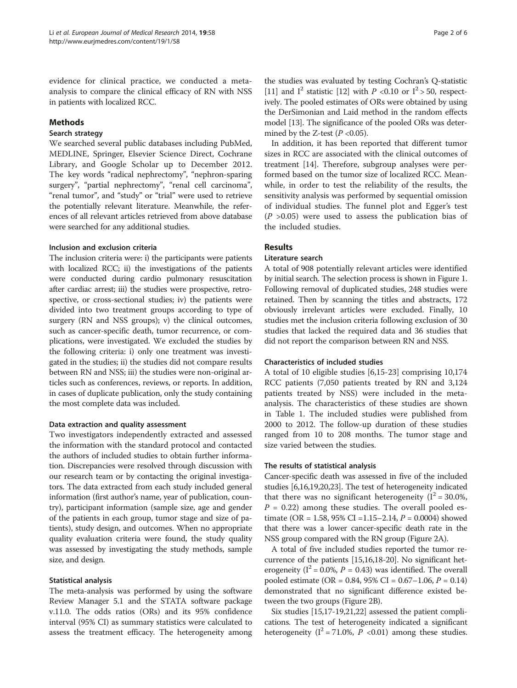evidence for clinical practice, we conducted a metaanalysis to compare the clinical efficacy of RN with NSS in patients with localized RCC.

#### Methods

#### Search strategy

We searched several public databases including PubMed, MEDLINE, Springer, Elsevier Science Direct, Cochrane Library, and Google Scholar up to December 2012. The key words "radical nephrectomy", "nephron-sparing surgery", "partial nephrectomy", "renal cell carcinoma", "renal tumor", and "study" or "trial" were used to retrieve the potentially relevant literature. Meanwhile, the references of all relevant articles retrieved from above database were searched for any additional studies.

#### Inclusion and exclusion criteria

The inclusion criteria were: i) the participants were patients with localized RCC; ii) the investigations of the patients were conducted during cardio pulmonary resuscitation after cardiac arrest; iii) the studies were prospective, retrospective, or cross-sectional studies; iv) the patients were divided into two treatment groups according to type of surgery (RN and NSS groups); v) the clinical outcomes, such as cancer-specific death, tumor recurrence, or complications, were investigated. We excluded the studies by the following criteria: i) only one treatment was investigated in the studies; ii) the studies did not compare results between RN and NSS; iii) the studies were non-original articles such as conferences, reviews, or reports. In addition, in cases of duplicate publication, only the study containing the most complete data was included.

#### Data extraction and quality assessment

Two investigators independently extracted and assessed the information with the standard protocol and contacted the authors of included studies to obtain further information. Discrepancies were resolved through discussion with our research team or by contacting the original investigators. The data extracted from each study included general information (first author's name, year of publication, country), participant information (sample size, age and gender of the patients in each group, tumor stage and size of patients), study design, and outcomes. When no appropriate quality evaluation criteria were found, the study quality was assessed by investigating the study methods, sample size, and design.

#### Statistical analysis

The meta-analysis was performed by using the software Review Manager 5.1 and the STATA software package v.11.0. The odds ratios (ORs) and its 95% confidence interval (95% CI) as summary statistics were calculated to assess the treatment efficacy. The heterogeneity among

the studies was evaluated by testing Cochran's Q-statistic [[11](#page-5-0)] and I<sup>2</sup> statistic [\[12](#page-5-0)] with P <0.10 or  $I^2 > 50$ , respectively. The pooled estimates of ORs were obtained by using the DerSimonian and Laid method in the random effects model [[13](#page-5-0)]. The significance of the pooled ORs was determined by the Z-test  $(P<0.05)$ .

In addition, it has been reported that different tumor sizes in RCC are associated with the clinical outcomes of treatment [\[14\]](#page-5-0). Therefore, subgroup analyses were performed based on the tumor size of localized RCC. Meanwhile, in order to test the reliability of the results, the sensitivity analysis was performed by sequential omission of individual studies. The funnel plot and Egger's test  $(P > 0.05)$  were used to assess the publication bias of the included studies.

#### Results

#### Literature search

A total of 908 potentially relevant articles were identified by initial search. The selection process is shown in Figure [1](#page-2-0). Following removal of duplicated studies, 248 studies were retained. Then by scanning the titles and abstracts, 172 obviously irrelevant articles were excluded. Finally, 10 studies met the inclusion criteria following exclusion of 30 studies that lacked the required data and 36 studies that did not report the comparison between RN and NSS.

#### Characteristics of included studies

A total of 10 eligible studies [[6,15-23\]](#page-5-0) comprising 10,174 RCC patients (7,050 patients treated by RN and 3,124 patients treated by NSS) were included in the metaanalysis. The characteristics of these studies are shown in Table [1](#page-2-0). The included studies were published from 2000 to 2012. The follow-up duration of these studies ranged from 10 to 208 months. The tumor stage and size varied between the studies.

#### The results of statistical analysis

Cancer-specific death was assessed in five of the included studies [\[6,16,19,20,23](#page-5-0)]. The test of heterogeneity indicated that there was no significant heterogeneity ( $I^2 = 30.0\%$ ,  $P = 0.22$ ) among these studies. The overall pooled estimate (OR = 1.58, 95% CI = 1.15–2.14,  $P = 0.0004$ ) showed that there was a lower cancer-specific death rate in the NSS group compared with the RN group (Figure [2A](#page-3-0)).

A total of five included studies reported the tumor recurrence of the patients [\[15,16,18](#page-5-0)-[20](#page-5-0)]. No significant heterogeneity ( $I^2 = 0.0\%$ ,  $P = 0.43$ ) was identified. The overall pooled estimate (OR = 0.84, 95% CI = 0.67–1.06, P = 0.14) demonstrated that no significant difference existed between the two groups (Figure [2B](#page-3-0)).

Six studies [[15,17-19,21,22](#page-5-0)] assessed the patient complications. The test of heterogeneity indicated a significant heterogeneity ( $I^2 = 71.0\%$ ,  $P < 0.01$ ) among these studies.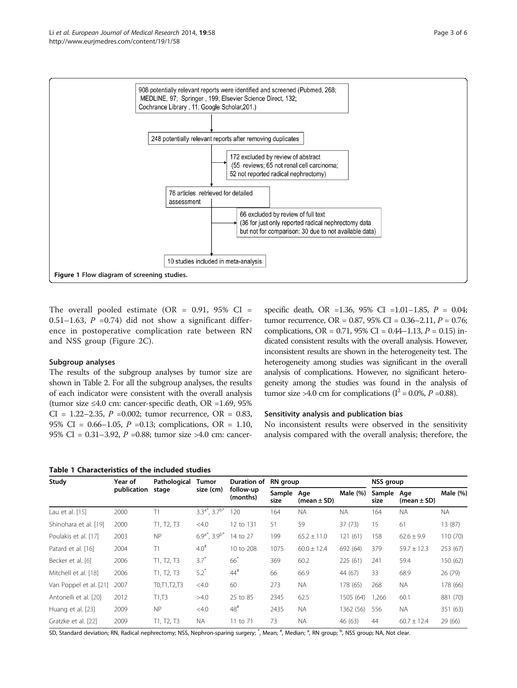<span id="page-2-0"></span>

The overall pooled estimate (OR =  $0.91, 95\%$  CI = 0.51–1.63,  $P = 0.74$  did not show a significant difference in postoperative complication rate between RN and NSS group (Figure [2C](#page-3-0)).

#### Subgroup analyses

The results of the subgroup analyses by tumor size are shown in Table [2.](#page-4-0) For all the subgroup analyses, the results of each indicator were consistent with the overall analysis (tumor size  $\leq 4.0$  cm: cancer-specific death, OR =1.69, 95%)  $CI = 1.22 - 2.35$ ,  $P = 0.002$ ; tumor recurrence,  $OR = 0.83$ , 95% CI =  $0.66-1.05$ ,  $P = 0.13$ ; complications, OR = 1.10, 95% CI =  $0.31-3.92$ ,  $P = 0.88$ ; tumor size >4.0 cm: cancer-

|  |  | Table 1 Characteristics of the included studies |  |  |  |  |
|--|--|-------------------------------------------------|--|--|--|--|
|--|--|-------------------------------------------------|--|--|--|--|

specific death, OR =1.36, 95% CI =1.01-1.85,  $P = 0.04$ ; tumor recurrence, OR =  $0.87$ , 95% CI =  $0.36-2.11$ ,  $P = 0.76$ ; complications, OR = 0.71, 95% CI = 0.44–1.13,  $P = 0.15$ ) indicated consistent results with the overall analysis. However, inconsistent results are shown in the heterogeneity test. The heterogeneity among studies was significant in the overall analysis of complications. However, no significant heterogeneity among the studies was found in the analysis of tumor size >4.0 cm for complications ( $I^2$  = 0.0%,  $P$  =0.88).

#### Sensitivity analysis and publication bias

No inconsistent results were observed in the sensitivity analysis compared with the overall analysis; therefore, the

| Study                  | Year of<br>publication | Pathological<br>stage | Tumor<br>size (cm)      | Duration of<br>follow-up<br>(months) | RN group       |                        |           | <b>NSS group</b> |                        |          |
|------------------------|------------------------|-----------------------|-------------------------|--------------------------------------|----------------|------------------------|-----------|------------------|------------------------|----------|
|                        |                        |                       |                         |                                      | Sample<br>size | Age<br>(mean $\pm$ SD) | Male (%)  | Sample<br>size   | Age<br>$(mean \pm SD)$ | Male (%) |
| Lau et al. [15]        | 2000                   | T1                    | $3.3^{a*}$ , $3.7^{b*}$ | 120                                  | 164            | <b>NA</b>              | <b>NA</b> | 164              | <b>NA</b>              | NA.      |
| Shinohara et al. [19]  | 2000                   | T1, T2, T3            | $<$ 4.0                 | 12 to 131                            | 51             | 59                     | 37(73)    | 15               | 61                     | 13(87)   |
| Poulakis et al. [17]   | 2003                   | <b>NP</b>             | $6.9^{a*}$ , $3.9^{b*}$ | 14 to 27                             | 199            | $65.2 \pm 11.0$        | 121 (61)  | 158              | $62.6 \pm 9.9$         | 110(70)  |
| Patard et al. [16]     | 2004                   | T1                    | $4.0^{#}$               | 10 to 208                            | 1075           | $60.0 \pm 12.4$        | 692 (64)  | 379              | $59.7 \pm 12.3$        | 253 (67) |
| Becker et al. [6]      | 2006                   | T1, T2, T3            | $3.7^{*}$               | $66^*$                               | 369            | 60.2                   | 225(61)   | 241              | 59.4                   | 150 (62) |
| Mitchell et al. [18]   | 2006                   | T1, T2, T3            | $5.2^*$                 | $44^{\#}$                            | 66             | 66.9                   | 44 (67)   | 33               | 68.9                   | 26(79)   |
| Van Poppel et al. [21] | 2007                   | T0,T1,T2,T3           | <4.0                    | 60                                   | 273            | <b>NA</b>              | 178 (65)  | 268              | NA.                    | 178 (66) |
| Antonelli et al. [20]  | 2012                   | T1,T3                 | >4.0                    | 25 to 85                             | 2345           | 62.5                   | 1505 (64) | 1,266            | 60.1                   | 881 (70) |
| Huang et al. [23]      | 2009                   | <b>NP</b>             | <4.0                    | $48^{#}$                             | 2435           | <b>NA</b>              | 1362 (56) | 556              | <b>NA</b>              | 351 (63) |
| Gratzke et al. [22]    | 2009                   | T1, T2, T3            | NA.                     | 11 to 71                             | 73             | <b>NA</b>              | 46 (63)   | 44               | $60.7 \pm 12.4$        | 29(66)   |

SD, Standard deviation; RN, Radical nephrectomy; NSS, Nephron-sparing surgery;  $\tilde{ }$ , Mean;  $\tilde{ }$ , Median; <sup>a</sup>, RN group; <sup>b</sup>, NSS group; NA, Not clear.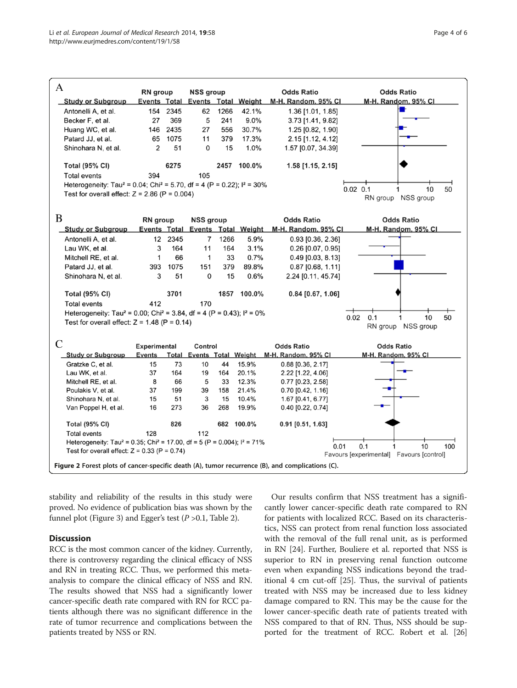<span id="page-3-0"></span>

| A                                                                                                 |                     |          |                                                      |      |                                  | <b>Odds Ratio</b>   | <b>Odds Ratio</b>      |  |
|---------------------------------------------------------------------------------------------------|---------------------|----------|------------------------------------------------------|------|----------------------------------|---------------------|------------------------|--|
| <b>Study or Subgroup</b>                                                                          | <b>RN</b> group     |          | <b>NSS group</b><br>Events Total Events Total Weight |      |                                  | M-H, Random, 95% CI | M-H. Random, 95% CI    |  |
| Antonelli A, et al.                                                                               |                     | 154 2345 | 62                                                   | 1266 | 42.1%                            | $1.36$ [1.01, 1.85] |                        |  |
|                                                                                                   | 27                  | 369      | 5                                                    | 241  | 9.0%                             | 3.73 [1.41, 9.82]   |                        |  |
| Becker F, et al.<br>Huang WC, et al.                                                              | 146                 | 2435     | 27                                                   | 556  | 30.7%                            |                     |                        |  |
|                                                                                                   |                     | 1075     |                                                      |      |                                  | 1.25 [0.82, 1.90]   |                        |  |
| Patard JJ, et al.                                                                                 | 65<br>2             | 51       | 11<br>$\Omega$                                       | 379  | 17.3%                            | 2.15 [1.12, 4.12]   |                        |  |
| Shinohara N, et al.                                                                               |                     |          |                                                      | 15   | 1.0%                             | 1.57 [0.07, 34.39]  |                        |  |
| <b>Total (95% CI)</b>                                                                             |                     | 6275     |                                                      | 2457 | 100.0%                           | 1.58 [1.15, 2.15]   |                        |  |
| <b>Total events</b>                                                                               | 394                 |          | 105                                                  |      |                                  |                     |                        |  |
| Heterogeneity: Tau <sup>2</sup> = 0.04; Chi <sup>2</sup> = 5.70, df = 4 (P = 0.22); $1^2$ = 30%   |                     |          |                                                      |      |                                  |                     | $0.02$ 0.1<br>10<br>50 |  |
| Test for overall effect: $Z = 2.86$ (P = 0.004)                                                   |                     |          |                                                      |      |                                  |                     | RN group NSS group     |  |
|                                                                                                   |                     |          |                                                      |      |                                  |                     |                        |  |
| B                                                                                                 | RN group            |          | <b>NSS</b> group                                     |      |                                  | <b>Odds Ratio</b>   | <b>Odds Ratio</b>      |  |
| <b>Study or Subgroup</b>                                                                          |                     |          |                                                      |      | Events Total Events Total Weight | M-H, Random, 95% Cl | M-H. Random, 95% CI    |  |
| Antonelli A, et al.                                                                               |                     | 12 2345  | $\overline{7}$                                       | 1266 | 5.9%                             | $0.93$ [0.36, 2.36] |                        |  |
| Lau WK, et al.                                                                                    | 3                   | 164      | 11                                                   | 164  | 3.1%                             | $0.26$ [0.07, 0.95] |                        |  |
| Mitchell RE, et al.                                                                               | 1                   | 66       | 1                                                    | 33   | 0.7%                             | $0.49$ [0.03, 8.13] |                        |  |
| Patard JJ, et al.                                                                                 | 393                 | 1075     | 151                                                  | 379  | 89.8%                            | $0.87$ [0.68, 1.11] |                        |  |
| Shinohara N, et al.                                                                               | 3                   | 51       | 0                                                    | 15   | 0.6%                             | 2.24 [0.11, 45.74]  |                        |  |
|                                                                                                   |                     |          |                                                      |      |                                  |                     |                        |  |
| <b>Total (95% CI)</b>                                                                             |                     | 3701     |                                                      |      | 1857 100.0%                      | $0.84$ [0.67, 1.06] |                        |  |
| <b>Total events</b>                                                                               | 412                 |          | 170                                                  |      |                                  |                     |                        |  |
| Heterogeneity: Tau <sup>2</sup> = 0.00; Chi <sup>2</sup> = 3.84, df = 4 (P = 0.43); $1^2$ = 0%    |                     |          |                                                      |      |                                  |                     |                        |  |
| 0.1<br>0.02<br>10<br>50<br>1<br>Test for overall effect: $Z = 1.48$ (P = 0.14)                    |                     |          |                                                      |      |                                  |                     | RN group NSS group     |  |
|                                                                                                   |                     |          |                                                      |      |                                  |                     |                        |  |
| $\mathcal{C}$                                                                                     | <b>Experimental</b> |          | Control                                              |      |                                  | <b>Odds Ratio</b>   | <b>Odds Ratio</b>      |  |
| <b>Study or Subgroup</b>                                                                          | <b>Events</b>       |          | <b>Total Events Total Weight</b>                     |      |                                  | M-H, Random, 95% CI | M-H, Random, 95% CI    |  |
| Gratzke C, et al.                                                                                 | 15                  | 73       | 10                                                   | 44   | 15.9%                            | 0.88 [0.36, 2.17]   |                        |  |
| Lau WK, et al.                                                                                    | 37                  | 164      | 19                                                   | 164  | 20.1%                            | 2.22 [1.22, 4.06]   |                        |  |
| Mitchell RE, et al.                                                                               | 8                   | 66       | 5                                                    | 33   | 12.3%                            | $0.77$ [0.23, 2.58] |                        |  |
| Poulakis V, et al.                                                                                | 37                  | 199      | 39                                                   | 158  | 21.4%                            | $0.70$ [0.42, 1.16] |                        |  |
| Shinohara N, et al.                                                                               | 15                  | 51       | 3                                                    | 15   | 10.4%                            | 1.67 [0.41, 6.77]   |                        |  |
| Van Poppel H, et al.                                                                              | 16                  | 273      | 36                                                   | 268  | 19.9%                            | $0.40$ [0.22, 0.74] |                        |  |
| <b>Total (95% CI)</b>                                                                             |                     | 826      |                                                      |      | 682 100.0%                       | $0.91$ [0.51, 1.63] |                        |  |
| <b>Total events</b>                                                                               | 128                 |          | 112                                                  |      |                                  |                     |                        |  |
| Heterogeneity: Tau <sup>2</sup> = 0.35; Chi <sup>2</sup> = 17.00, df = 5 (P = 0.004); $I^2$ = 71% |                     |          |                                                      |      |                                  |                     |                        |  |
| 0.01<br>0.1<br>100<br>10<br>Test for overall effect: $Z = 0.33$ (P = 0.74)                        |                     |          |                                                      |      |                                  |                     |                        |  |
| Favours [experimental] Favours [control]                                                          |                     |          |                                                      |      |                                  |                     |                        |  |
| Figure 2 Forest plots of cancer-specific death (A), tumor recurrence (B), and complications (C).  |                     |          |                                                      |      |                                  |                     |                        |  |

stability and reliability of the results in this study were proved. No evidence of publication bias was shown by the funnel plot (Figure [3\)](#page-4-0) and Egger's test ( $P > 0.1$ , Table [2\)](#page-4-0).

#### **Discussion**

RCC is the most common cancer of the kidney. Currently, there is controversy regarding the clinical efficacy of NSS and RN in treating RCC. Thus, we performed this metaanalysis to compare the clinical efficacy of NSS and RN. The results showed that NSS had a significantly lower cancer-specific death rate compared with RN for RCC patients although there was no significant difference in the rate of tumor recurrence and complications between the patients treated by NSS or RN.

Our results confirm that NSS treatment has a significantly lower cancer-specific death rate compared to RN for patients with localized RCC. Based on its characteristics, NSS can protect from renal function loss associated with the removal of the full renal unit, as is performed in RN [[24\]](#page-5-0). Further, Bouliere et al. reported that NSS is superior to RN in preserving renal function outcome even when expanding NSS indications beyond the traditional 4 cm cut-off [[25\]](#page-5-0). Thus, the survival of patients treated with NSS may be increased due to less kidney damage compared to RN. This may be the cause for the lower cancer-specific death rate of patients treated with NSS compared to that of RN. Thus, NSS should be supported for the treatment of RCC. Robert et al. [[26](#page-5-0)]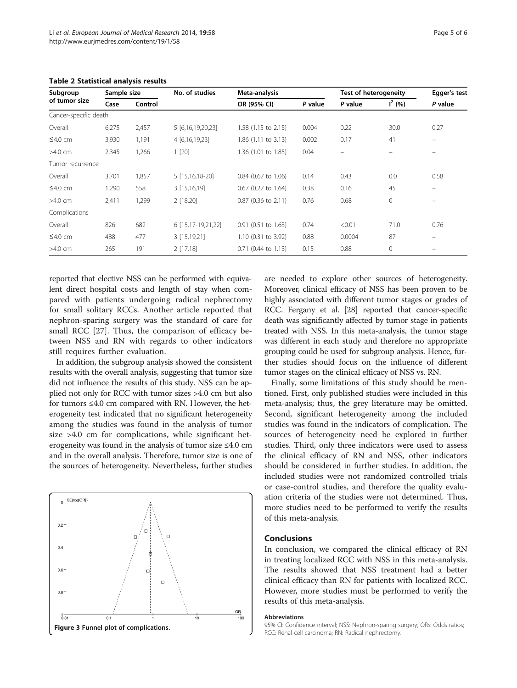| Subgroup<br>of tumor size | Sample size |         | No. of studies     | Meta-analysis         |         | <b>Test of heterogeneity</b> |              | Egger's test      |  |
|---------------------------|-------------|---------|--------------------|-----------------------|---------|------------------------------|--------------|-------------------|--|
|                           | Case        | Control |                    | OR (95% CI)           | P value | P value                      | $I^2(96)$    | P value           |  |
| Cancer-specific death     |             |         |                    |                       |         |                              |              |                   |  |
| Overall                   | 6,275       | 2,457   | 5 [6,16,19,20,23]  | 1.58 (1.15 to 2.15)   | 0.004   | 0.22                         | 30.0         | 0.27              |  |
| $\leq 4.0$ cm             | 3,930       | 1,191   | 4 [6,16,19,23]     | $1.86$ (1.11 to 3.13) | 0.002   | 0.17                         | 41           | $\qquad \qquad =$ |  |
| $>4.0$ cm                 | 2,345       | 1,266   | 1 [20]             | 1.36 (1.01 to 1.85)   | 0.04    |                              |              |                   |  |
| Tumor recurrence          |             |         |                    |                       |         |                              |              |                   |  |
| Overall                   | 3,701       | 1,857   | 5 [15,16,18-20]    | $0.84$ (0.67 to 1.06) | 0.14    | 0.43                         | 0.0          | 0.58              |  |
| $\leq 4.0$ cm             | 1,290       | 558     | 3 [15,16,19]       | 0.67 (0.27 to 1.64)   | 0.38    | 0.16                         | 45           | -                 |  |
| $>4.0$ cm                 | 2,411       | 1,299   | $2$ [18,20]        | $0.87$ (0.36 to 2.11) | 0.76    | 0.68                         | $\mathbf{0}$ | $-$               |  |
| Complications             |             |         |                    |                       |         |                              |              |                   |  |
| Overall                   | 826         | 682     | 6 [15,17-19,21,22] | 0.91 (0.51 to 1.63)   | 0.74    | < 0.01                       | 71.0         | 0.76              |  |
| $\leq 4.0$ cm             | 488         | 477     | 3 [15,19,21]       | 1.10 (0.31 to 3.92)   | 0.88    | 0.0004                       | 87           |                   |  |
| $>4.0$ cm                 | 265         | 191     | 2[17,18]           | $0.71$ (0.44 to 1.13) | 0.15    | 0.88                         | $\mathbf{0}$ |                   |  |

<span id="page-4-0"></span>Table 2 Statistical analysis results

reported that elective NSS can be performed with equivalent direct hospital costs and length of stay when compared with patients undergoing radical nephrectomy for small solitary RCCs. Another article reported that nephron-sparing surgery was the standard of care for small RCC [\[27](#page-5-0)]. Thus, the comparison of efficacy between NSS and RN with regards to other indicators still requires further evaluation.

In addition, the subgroup analysis showed the consistent results with the overall analysis, suggesting that tumor size did not influence the results of this study. NSS can be applied not only for RCC with tumor sizes >4.0 cm but also for tumors ≤4.0 cm compared with RN. However, the heterogeneity test indicated that no significant heterogeneity among the studies was found in the analysis of tumor size >4.0 cm for complications, while significant heterogeneity was found in the analysis of tumor size ≤4.0 cm and in the overall analysis. Therefore, tumor size is one of the sources of heterogeneity. Nevertheless, further studies



are needed to explore other sources of heterogeneity. Moreover, clinical efficacy of NSS has been proven to be highly associated with different tumor stages or grades of RCC. Fergany et al. [[28](#page-5-0)] reported that cancer-specific death was significantly affected by tumor stage in patients treated with NSS. In this meta-analysis, the tumor stage was different in each study and therefore no appropriate grouping could be used for subgroup analysis. Hence, further studies should focus on the influence of different tumor stages on the clinical efficacy of NSS vs. RN.

Finally, some limitations of this study should be mentioned. First, only published studies were included in this meta-analysis; thus, the grey literature may be omitted. Second, significant heterogeneity among the included studies was found in the indicators of complication. The sources of heterogeneity need be explored in further studies. Third, only three indicators were used to assess the clinical efficacy of RN and NSS, other indicators should be considered in further studies. In addition, the included studies were not randomized controlled trials or case-control studies, and therefore the quality evaluation criteria of the studies were not determined. Thus, more studies need to be performed to verify the results of this meta-analysis.

#### Conclusions

In conclusion, we compared the clinical efficacy of RN in treating localized RCC with NSS in this meta-analysis. The results showed that NSS treatment had a better clinical efficacy than RN for patients with localized RCC. However, more studies must be performed to verify the results of this meta-analysis.

#### Abbreviations

95% CI: Confidence interval; NSS: Nephron-sparing surgery; ORs: Odds ratios; RCC: Renal cell carcinoma; RN: Radical nephrectomy.